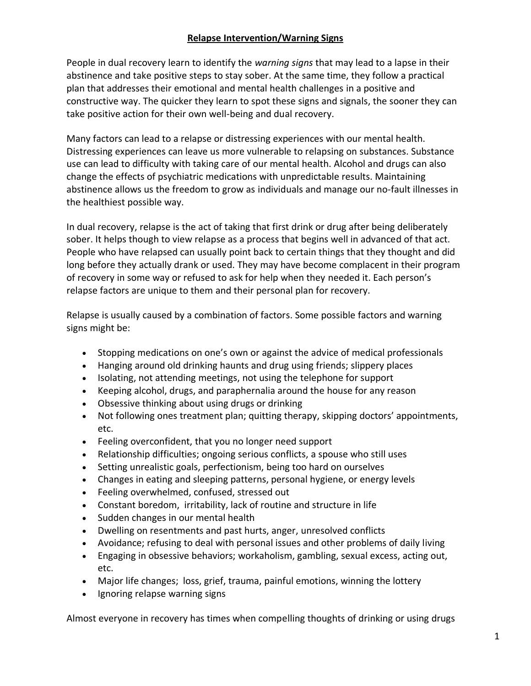#### **Relapse Intervention/Warning Signs**

People in dual recovery learn to identify the *warning signs* that may lead to a lapse in their abstinence and take positive steps to stay sober. At the same time, they follow a practical plan that addresses their emotional and mental health challenges in a positive and constructive way. The quicker they learn to spot these signs and signals, the sooner they can take positive action for their own well-being and dual recovery.

Many factors can lead to a relapse or distressing experiences with our mental health. Distressing experiences can leave us more vulnerable to relapsing on substances. Substance use can lead to difficulty with taking care of our mental health. Alcohol and drugs can also change the effects of psychiatric medications with unpredictable results. Maintaining abstinence allows us the freedom to grow as individuals and manage our no-fault illnesses in the healthiest possible way.

In dual recovery, relapse is the act of taking that first drink or drug after being deliberately sober. It helps though to view relapse as a process that begins well in advanced of that act. People who have relapsed can usually point back to certain things that they thought and did long before they actually drank or used. They may have become complacent in their program of recovery in some way or refused to ask for help when they needed it. Each person's relapse factors are unique to them and their personal plan for recovery.

Relapse is usually caused by a combination of factors. Some possible factors and warning signs might be:

- Stopping medications on one's own or against the advice of medical professionals
- Hanging around old drinking haunts and drug using friends; slippery places
- Isolating, not attending meetings, not using the telephone for support
- Keeping alcohol, drugs, and paraphernalia around the house for any reason
- Obsessive thinking about using drugs or drinking
- Not following ones treatment plan; quitting therapy, skipping doctors' appointments, etc.
- Feeling overconfident, that you no longer need support
- Relationship difficulties; ongoing serious conflicts, a spouse who still uses
- Setting unrealistic goals, perfectionism, being too hard on ourselves
- Changes in eating and sleeping patterns, personal hygiene, or energy levels
- Feeling overwhelmed, confused, stressed out
- Constant boredom, irritability, lack of routine and structure in life
- Sudden changes in our mental health
- Dwelling on resentments and past hurts, anger, unresolved conflicts
- Avoidance; refusing to deal with personal issues and other problems of daily living
- Engaging in obsessive behaviors; workaholism, gambling, sexual excess, acting out, etc.
- Major life changes; loss, grief, trauma, painful emotions, winning the lottery
- Ignoring relapse warning signs

Almost everyone in recovery has times when compelling thoughts of drinking or using drugs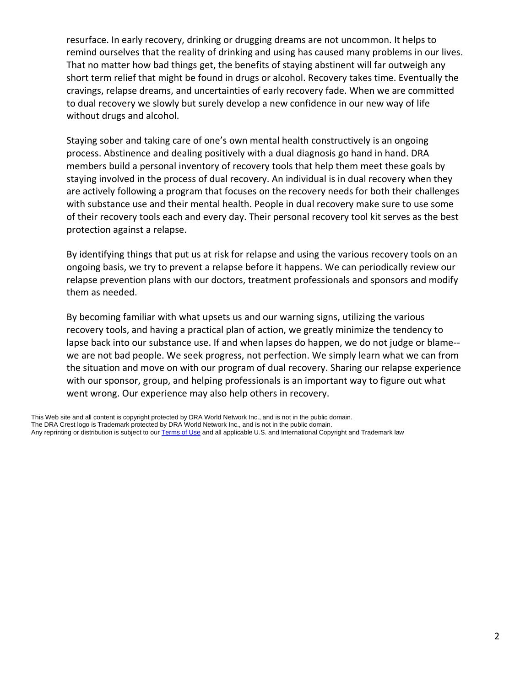resurface. In early recovery, drinking or drugging dreams are not uncommon. It helps to remind ourselves that the reality of drinking and using has caused many problems in our lives. That no matter how bad things get, the benefits of staying abstinent will far outweigh any short term relief that might be found in drugs or alcohol. Recovery takes time. Eventually the cravings, relapse dreams, and uncertainties of early recovery fade. When we are committed to dual recovery we slowly but surely develop a new confidence in our new way of life without drugs and alcohol.

Staying sober and taking care of one's own mental health constructively is an ongoing process. Abstinence and dealing positively with a dual diagnosis go hand in hand. DRA members build a personal inventory of recovery tools that help them meet these goals by staying involved in the process of dual recovery. An individual is in dual recovery when they are actively following a program that focuses on the recovery needs for both their challenges with substance use and their mental health. People in dual recovery make sure to use some of their recovery tools each and every day. Their personal recovery tool kit serves as the best protection against a relapse.

By identifying things that put us at risk for relapse and using the various recovery tools on an ongoing basis, we try to prevent a relapse before it happens. We can periodically review our relapse prevention plans with our doctors, treatment professionals and sponsors and modify them as needed.

By becoming familiar with what upsets us and our warning signs, utilizing the various recovery tools, and having a practical plan of action, we greatly minimize the tendency to lapse back into our substance use. If and when lapses do happen, we do not judge or blame- we are not bad people. We seek progress, not perfection. We simply learn what we can from the situation and move on with our program of dual recovery. Sharing our relapse experience with our sponsor, group, and helping professionals is an important way to figure out what went wrong. Our experience may also help others in recovery.

This Web site and all content is copyright protected by DRA World Network Inc., and is not in the public domain. The DRA Crest logo is Trademark protected by DRA World Network Inc., and is not in the public domain. Any reprinting or distribution is subject to ou[r Terms of Use](javascript:PopUp() and all applicable U.S. and International Copyright and Trademark law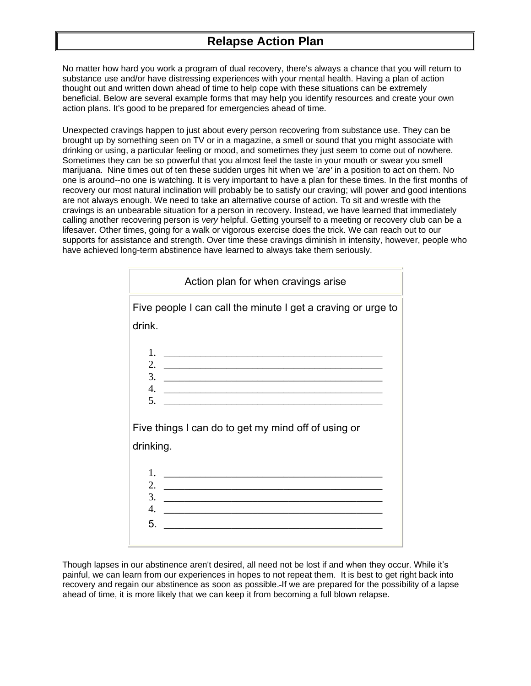#### **Relapse Action Plan**

No matter how hard you work a program of dual recovery, there's always a chance that you will return to substance use and/or have distressing experiences with your mental health. Having a plan of action thought out and written down ahead of time to help cope with these situations can be extremely beneficial. Below are several example forms that may help you identify resources and create your own action plans. It's good to be prepared for emergencies ahead of time.

Unexpected cravings happen to just about every person recovering from substance use. They can be brought up by something seen on TV or in a magazine, a smell or sound that you might associate with drinking or using, a particular feeling or mood, and sometimes they just seem to come out of nowhere. Sometimes they can be so powerful that you almost feel the taste in your mouth or swear you smell marijuana. Nine times out of ten these sudden urges hit when we '*are'* in a position to act on them. No one is around--no one is watching. It is very important to have a plan for these times. In the first months of recovery our most natural inclination will probably be to satisfy our craving; will power and good intentions are not always enough. We need to take an alternative course of action. To sit and wrestle with the cravings is an unbearable situation for a person in recovery. Instead, we have learned that immediately calling another recovering person is *very* helpful. Getting yourself to a meeting or recovery club can be a lifesaver. Other times, going for a walk or vigorous exercise does the trick. We can reach out to our supports for assistance and strength. Over time these cravings diminish in intensity, however, people who have achieved long-term abstinence have learned to always take them seriously.

| Action plan for when cravings arise                                     |
|-------------------------------------------------------------------------|
| Five people I can call the minute I get a craving or urge to            |
| drink.                                                                  |
| 1.                                                                      |
| 2.<br><u> 1989 - Johann Stoff, amerikansk politiker (d. 1989)</u><br>3. |
| $\overline{4}$ .<br>5.                                                  |
|                                                                         |
| Five things I can do to get my mind off of using or                     |
| drinking.                                                               |
| 1.                                                                      |
| 2.<br>3.                                                                |
| $\overline{4}$ .                                                        |
| 5.                                                                      |

Though lapses in our abstinence aren't desired, all need not be lost if and when they occur. While it's painful, we can learn from our experiences in hopes to not repeat them. It is best to get right back into recovery and regain our abstinence as soon as possible. If we are prepared for the possibility of a lapse ahead of time, it is more likely that we can keep it from becoming a full blown relapse.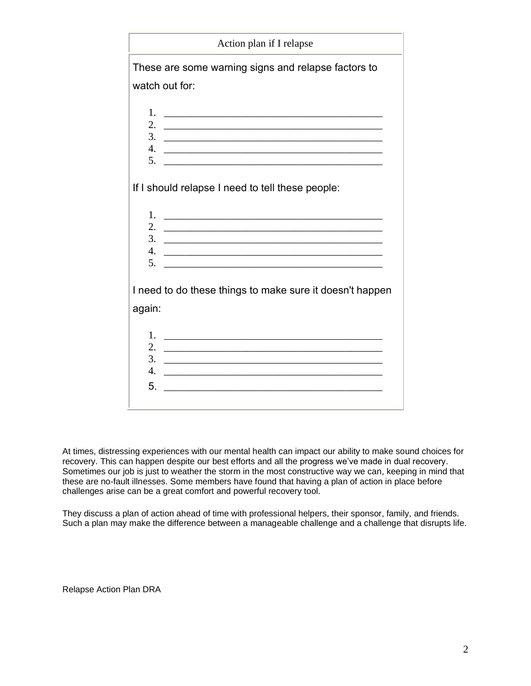| Action plan if I relapse                                                                                                                                                                                                                                                                                                                                                                        |
|-------------------------------------------------------------------------------------------------------------------------------------------------------------------------------------------------------------------------------------------------------------------------------------------------------------------------------------------------------------------------------------------------|
| These are some warning signs and relapse factors to                                                                                                                                                                                                                                                                                                                                             |
| watch out for:                                                                                                                                                                                                                                                                                                                                                                                  |
| 1.<br>2.<br><u> 1989 - Johann Barbara, markazar margolaria (h. 1989).</u><br>3.<br><u> 2000 - Jan James James James James James James James James James James James James James James James James J</u><br>4.<br>5.                                                                                                                                                                             |
| If I should relapse I need to tell these people:                                                                                                                                                                                                                                                                                                                                                |
| 1.<br>and the control of the control of the control of the control of the control of the control of the control of the<br>2.<br>3.<br><u> 2000 - Jan James James James James James James James James James James James James James James James James J</u><br>4.<br>5.                                                                                                                          |
| I need to do these things to make sure it doesn't happen<br>again:                                                                                                                                                                                                                                                                                                                              |
| 1.<br><u> 2000 - Jan James James Jan James James James James James James James James James James James James James James Ja</u><br>2.<br>and the control of the control of the control of the control of the control of the control of the control of the<br>3.<br><u> 1989 - Johann Barbara, martxa alemaniar amerikan baratzaren 1980an biztanle arteko hamarka</u><br>$\overline{4}$ .<br>5. |

At times, distressing experiences with our mental health can impact our ability to make sound choices for recovery. This can happen despite our best efforts and all the progress we've made in dual recovery. Sometimes our job is just to weather the storm in the most constructive way we can, keeping in mind that these are no-fault illnesses. Some members have found that having a plan of action in place before challenges arise can be a great comfort and powerful recovery tool.

They discuss a plan of action ahead of time with professional helpers, their sponsor, family, and friends. Such a plan may make the difference between a manageable challenge and a challenge that disrupts life.

Relapse Action Plan DRA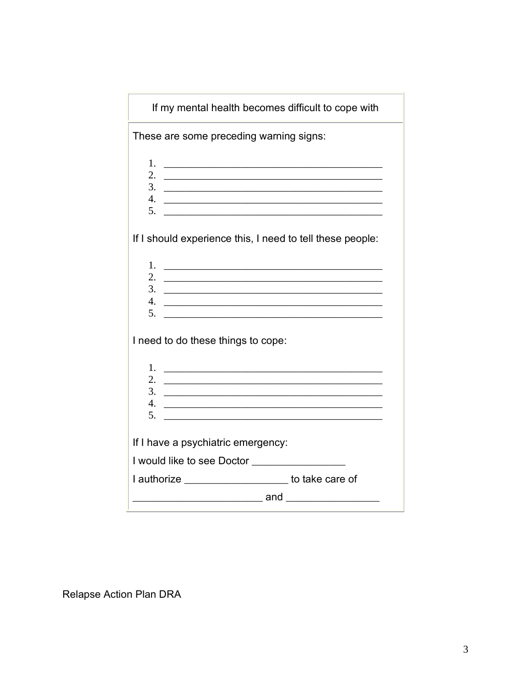| These are some preceding warning signs:<br>1.<br><u> 1989 - Andrea Barbara, amerikana amerikana amerikana amerikana amerikana amerikana amerikana amerikana amerika</u><br>2.<br>$\frac{3}{2}$<br>4.<br><u> 2000 - Jan Barnett, fransk politik (d. 1888)</u><br>If I should experience this, I need to tell these people:<br>1.<br>2.<br>the contract of the contract of the contract of the contract of the contract of<br>4.<br><u> 2000 - Jan Barnett, fransk politik (d. 1888)</u><br>I need to do these things to cope:<br>1.<br><u> 1989 - Andrea Andrews, amerikansk politik (</u><br>2.<br>the control of the control of the control of the control of the control of the control of<br>3.<br>4.<br>5.<br><u> 1989 - Johann Stoff, amerikansk politiker (d. 1989)</u><br>If I have a psychiatric emergency: | If my mental health becomes difficult to cope with |
|---------------------------------------------------------------------------------------------------------------------------------------------------------------------------------------------------------------------------------------------------------------------------------------------------------------------------------------------------------------------------------------------------------------------------------------------------------------------------------------------------------------------------------------------------------------------------------------------------------------------------------------------------------------------------------------------------------------------------------------------------------------------------------------------------------------------|----------------------------------------------------|
|                                                                                                                                                                                                                                                                                                                                                                                                                                                                                                                                                                                                                                                                                                                                                                                                                     |                                                    |
|                                                                                                                                                                                                                                                                                                                                                                                                                                                                                                                                                                                                                                                                                                                                                                                                                     |                                                    |
|                                                                                                                                                                                                                                                                                                                                                                                                                                                                                                                                                                                                                                                                                                                                                                                                                     |                                                    |
|                                                                                                                                                                                                                                                                                                                                                                                                                                                                                                                                                                                                                                                                                                                                                                                                                     |                                                    |
|                                                                                                                                                                                                                                                                                                                                                                                                                                                                                                                                                                                                                                                                                                                                                                                                                     |                                                    |
|                                                                                                                                                                                                                                                                                                                                                                                                                                                                                                                                                                                                                                                                                                                                                                                                                     |                                                    |
|                                                                                                                                                                                                                                                                                                                                                                                                                                                                                                                                                                                                                                                                                                                                                                                                                     |                                                    |
|                                                                                                                                                                                                                                                                                                                                                                                                                                                                                                                                                                                                                                                                                                                                                                                                                     |                                                    |
|                                                                                                                                                                                                                                                                                                                                                                                                                                                                                                                                                                                                                                                                                                                                                                                                                     |                                                    |
|                                                                                                                                                                                                                                                                                                                                                                                                                                                                                                                                                                                                                                                                                                                                                                                                                     |                                                    |
|                                                                                                                                                                                                                                                                                                                                                                                                                                                                                                                                                                                                                                                                                                                                                                                                                     |                                                    |
|                                                                                                                                                                                                                                                                                                                                                                                                                                                                                                                                                                                                                                                                                                                                                                                                                     |                                                    |
|                                                                                                                                                                                                                                                                                                                                                                                                                                                                                                                                                                                                                                                                                                                                                                                                                     |                                                    |
|                                                                                                                                                                                                                                                                                                                                                                                                                                                                                                                                                                                                                                                                                                                                                                                                                     |                                                    |
|                                                                                                                                                                                                                                                                                                                                                                                                                                                                                                                                                                                                                                                                                                                                                                                                                     |                                                    |
|                                                                                                                                                                                                                                                                                                                                                                                                                                                                                                                                                                                                                                                                                                                                                                                                                     |                                                    |
|                                                                                                                                                                                                                                                                                                                                                                                                                                                                                                                                                                                                                                                                                                                                                                                                                     |                                                    |
| I would like to see Doctor _________________                                                                                                                                                                                                                                                                                                                                                                                                                                                                                                                                                                                                                                                                                                                                                                        |                                                    |
| I authorize ______________________ to take care of                                                                                                                                                                                                                                                                                                                                                                                                                                                                                                                                                                                                                                                                                                                                                                  |                                                    |
| _______________ and ___________________                                                                                                                                                                                                                                                                                                                                                                                                                                                                                                                                                                                                                                                                                                                                                                             |                                                    |

Relapse Action Plan DRA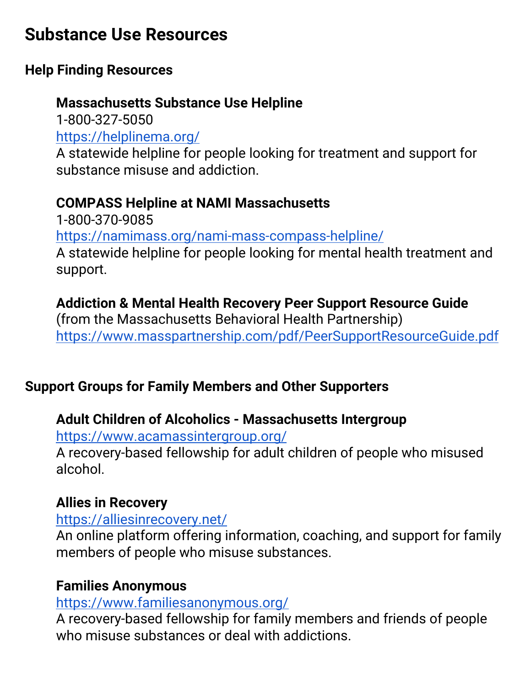# **Substance Use Resources**

### **Help Finding Resources**

## **Massachusetts Substance Use Helpline**

1-800-327-5050 <https://helplinema.org/> A statewide helpline for people looking for treatment and support for substance misuse and addiction.

## **COMPASS Helpline at NAMI Massachusetts**

1-800-370-9085 <https://namimass.org/nami-mass-compass-helpline/> A statewide helpline for people looking for mental health treatment and support.

### **Addiction & Mental Health Recovery Peer Support Resource Guide**

(from the Massachusetts Behavioral Health Partnership) <https://www.masspartnership.com/pdf/PeerSupportResourceGuide.pdf>

### **Support Groups for Family Members and Other Supporters**

### **Adult Children of Alcoholics - Massachusetts Intergroup**

<https://www.acamassintergroup.org/>

A recovery-based fellowship for adult children of people who misused alcohol.

### **Allies in Recovery**

### <https://alliesinrecovery.net/>

An online platform offering information, coaching, and support for family members of people who misuse substances.

### **Families Anonymous**

### <https://www.familiesanonymous.org/>

A recovery-based fellowship for family members and friends of people who misuse substances or deal with addictions.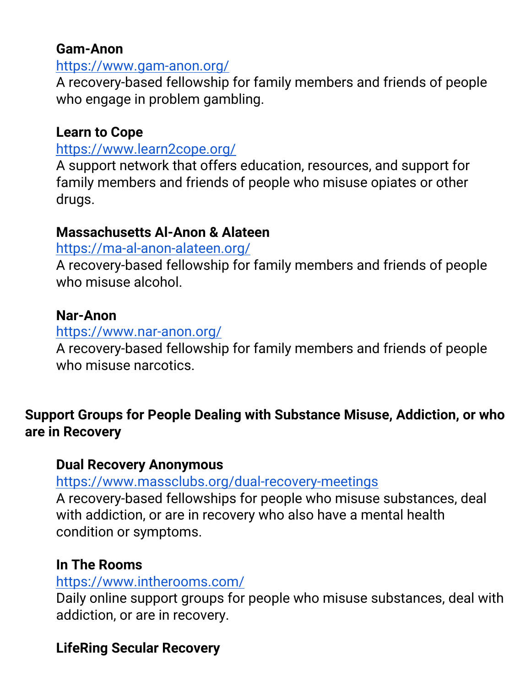### **Gam-Anon**

### <https://www.gam-anon.org/>

A recovery-based fellowship for family members and friends of people who engage in problem gambling.

## **Learn to Cope**

#### <https://www.learn2cope.org/>

A support network that offers education, resources, and support for family members and friends of people who misuse opiates or other drugs.

### **Massachusetts Al-Anon & Alateen**

#### <https://ma-al-anon-alateen.org/>

A recovery-based fellowship for family members and friends of people who misuse alcohol.

### **Nar-Anon**

### <https://www.nar-anon.org/>

A recovery-based fellowship for family members and friends of people who misuse narcotics.

## **Support Groups for People Dealing with Substance Misuse, Addiction, or who are in Recovery**

### **Dual Recovery Anonymous**

<https://www.massclubs.org/dual-recovery-meetings>

A recovery-based fellowships for people who misuse substances, deal with addiction, or are in recovery who also have a mental health condition or symptoms.

### **In The Rooms**

### <https://www.intherooms.com/>

Daily online support groups for people who misuse substances, deal with addiction, or are in recovery.

### **LifeRing Secular Recovery**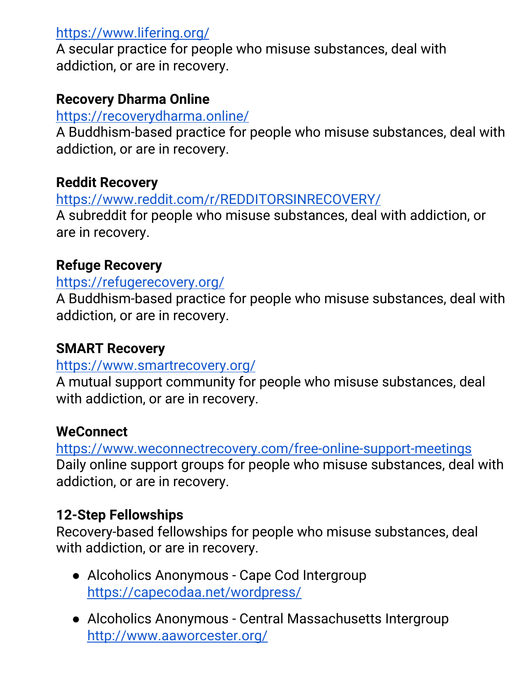### <https://www.lifering.org/>

A secular practice for people who misuse substances, deal with addiction, or are in recovery.

### **Recovery Dharma Online**

#### <https://recoverydharma.online/>

A Buddhism-based practice for people who misuse substances, deal with addiction, or are in recovery.

### **Reddit Recovery**

<https://www.reddit.com/r/REDDITORSINRECOVERY/>

A subreddit for people who misuse substances, deal with addiction, or are in recovery.

### **Refuge Recovery**

#### <https://refugerecovery.org/>

A Buddhism-based practice for people who misuse substances, deal with addiction, or are in recovery.

### **SMART Recovery**

### <https://www.smartrecovery.org/>

A mutual support community for people who misuse substances, deal with addiction, or are in recovery.

### **WeConnect**

<https://www.weconnectrecovery.com/free-online-support-meetings> Daily online support groups for people who misuse substances, deal with addiction, or are in recovery.

### **12-Step Fellowships**

Recovery-based fellowships for people who misuse substances, deal with addiction, or are in recovery.

- Alcoholics Anonymous Cape Cod Intergroup <https://capecodaa.net/wordpress/>
- Alcoholics Anonymous Central Massachusetts Intergroup <http://www.aaworcester.org/>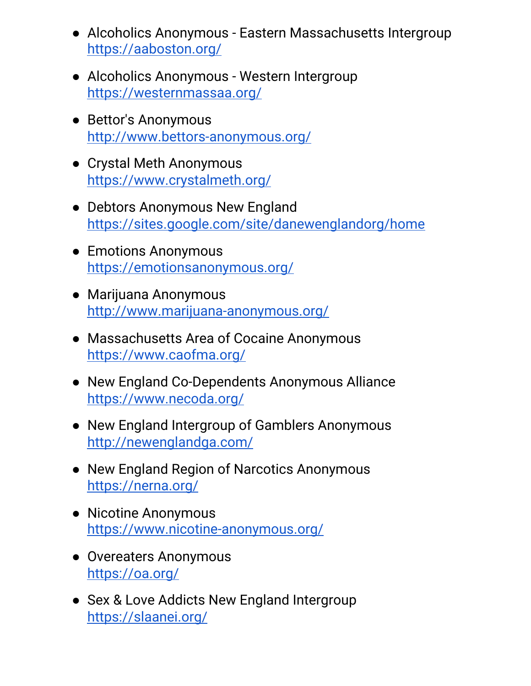- Alcoholics Anonymous Eastern Massachusetts Intergroup <https://aaboston.org/>
- Alcoholics Anonymous Western Intergroup <https://westernmassaa.org/>
- Bettor's Anonymous <http://www.bettors-anonymous.org/>
- Crystal Meth Anonymous <https://www.crystalmeth.org/>
- Debtors Anonymous New England <https://sites.google.com/site/danewenglandorg/home>
- Emotions Anonymous <https://emotionsanonymous.org/>
- Marijuana Anonymous <http://www.marijuana-anonymous.org/>
- Massachusetts Area of Cocaine Anonymous <https://www.caofma.org/>
- New England Co-Dependents Anonymous Alliance <https://www.necoda.org/>
- New England Intergroup of Gamblers Anonymous <http://newenglandga.com/>
- New England Region of Narcotics Anonymous <https://nerna.org/>
- Nicotine Anonymous <https://www.nicotine-anonymous.org/>
- Overeaters Anonymous <https://oa.org/>
- Sex & Love Addicts New England Intergroup <https://slaanei.org/>